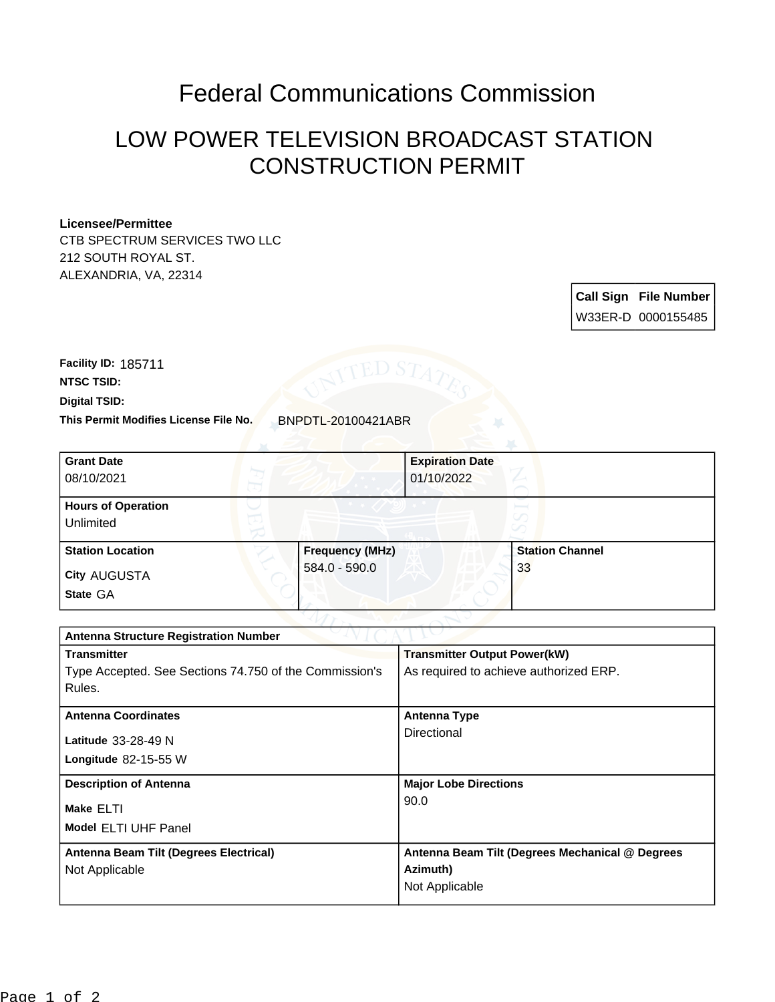## Federal Communications Commission

## LOW POWER TELEVISION BROADCAST STATION CONSTRUCTION PERMIT

## **Licensee/Permittee**

CTB SPECTRUM SERVICES TWO LLC 212 SOUTH ROYAL ST. ALEXANDRIA, VA, 22314

> **Call Sign File Number** W33ER-D 0000155485

**Digital TSID: NTSC TSID: Facility ID:** 185711

**This Permit Modifies License File No.** BNPDTL-20100421ABR

| <b>Grant Date</b><br>08/10/2021        |                        | <b>Expiration Date</b><br>01/10/2022 |                        |  |
|----------------------------------------|------------------------|--------------------------------------|------------------------|--|
| <b>Hours of Operation</b><br>Unlimited |                        |                                      | v                      |  |
| <b>Station Location</b>                | <b>Frequency (MHz)</b> |                                      | <b>Station Channel</b> |  |
| <b>City AUGUSTA</b><br>State GA        | 584.0 - 590.0          |                                      | 33                     |  |

| <b>Antenna Structure Registration Number</b>           |                                                 |  |  |
|--------------------------------------------------------|-------------------------------------------------|--|--|
| <b>Transmitter</b>                                     | <b>Transmitter Output Power(kW)</b>             |  |  |
| Type Accepted. See Sections 74.750 of the Commission's | As required to achieve authorized ERP.          |  |  |
| Rules.                                                 |                                                 |  |  |
| <b>Antenna Coordinates</b>                             | <b>Antenna Type</b>                             |  |  |
| <b>Latitude</b> 33-28-49 N                             | Directional                                     |  |  |
| Longitude $82-15-55$ W                                 |                                                 |  |  |
| <b>Description of Antenna</b>                          | <b>Major Lobe Directions</b>                    |  |  |
| Make ELTI                                              | 90.0                                            |  |  |
| <b>Model ELTI UHF Panel</b>                            |                                                 |  |  |
| Antenna Beam Tilt (Degrees Electrical)                 | Antenna Beam Tilt (Degrees Mechanical @ Degrees |  |  |
| Not Applicable                                         | Azimuth)                                        |  |  |
|                                                        | Not Applicable                                  |  |  |